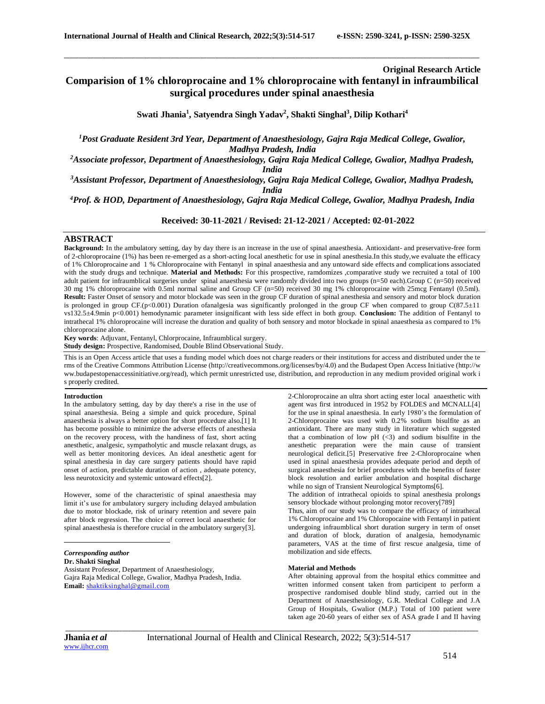## **Original Research Article**

# **Comparision of 1% chloroprocaine and 1% chloroprocaine with fentanyl in infraumbilical surgical procedures under spinal anaesthesia**

\_\_\_\_\_\_\_\_\_\_\_\_\_\_\_\_\_\_\_\_\_\_\_\_\_\_\_\_\_\_\_\_\_\_\_\_\_\_\_\_\_\_\_\_\_\_\_\_\_\_\_\_\_\_\_\_\_\_\_\_\_\_\_\_\_\_\_\_\_\_\_\_\_\_\_\_\_\_\_\_\_\_\_\_\_\_\_\_\_\_\_\_\_\_\_\_\_\_\_\_\_\_\_\_\_\_\_\_\_\_\_\_\_\_\_\_\_\_\_\_\_\_\_\_\_\_\_\_\_\_\_\_\_\_\_\_\_\_\_\_

**Swati Jhania<sup>1</sup> , Satyendra Singh Yadav<sup>2</sup> , Shakti Singhal<sup>3</sup> , Dilip Kothari<sup>4</sup>**

*<sup>1</sup>Post Graduate Resident 3rd Year, Department of Anaesthesiology, Gajra Raja Medical College, Gwalior, Madhya Pradesh, India*

*<sup>2</sup>Associate professor, Department of Anaesthesiology, Gajra Raja Medical College, Gwalior, Madhya Pradesh,* 

*India*

*<sup>3</sup>Assistant Professor, Department of Anaesthesiology, Gajra Raja Medical College, Gwalior, Madhya Pradesh, India*

*<sup>4</sup>Prof. & HOD, Department of Anaesthesiology, Gajra Raja Medical College, Gwalior, Madhya Pradesh, India*

**Received: 30-11-2021 / Revised: 21-12-2021 / Accepted: 02-01-2022**

# **ABSTRACT**

**Background:** In the ambulatory setting, day by day there is an increase in the use of spinal anaesthesia. Antioxidant- and preservative-free form of 2-chloroprocaine (1%) has been re-emerged as a short-acting local anesthetic for use in spinal anesthesia.In this study,we evaluate the efficacy of 1% Chloroprocaine and 1 % Chloroprocaine with Fentanyl in spinal anaesthesia and any untoward side effects and complications associated with the study drugs and technique. **Material and Methods:** For this prospective, ramdomizes ,comparative study we recruited a total of 100 adult patient for infraumblical surgeries under spinal anaesthesia were randomly divided into two groups (n=50 each).Group C (n=50) received 30 mg 1% chloroprocaine with 0.5ml normal saline and Group CF (n=50) received 30 mg 1% chloroprocaine with 25mcg Fentanyl (0.5ml). Result: Faster Onset of sensory and motor blockade was seen in the group CF duration of spinal anesthesia and sensory and motor block duration is prolonged in group CF.( $p<0.001$ ) Duration ofanalgesia was significantly prolonged in the group CF when compared to group C(87.5 $\pm$ 11 vs132.5±4.9min p<0.001) hemodynamic parameter insignificant with less side effect in both group. **Conclusion:** The addition of Fentanyl to intrathecal 1% chloroprocaine will increase the duration and quality of both sensory and motor blockade in spinal anaesthesia as compared to 1% chloroprocaine alone.

**Key words**: Adjuvant, Fentanyl, Chlorprocaine, Infraumblical surgery. **Study design:** Prospective, Randomised, Double Blind Observational Study.

This is an Open Access article that uses a funding model which does not charge readers or their institutions for access and distributed under the te rms of the Creative Commons Attribution License (http://creativecommons.org/licenses/by/4.0) and the Budapest Open Access Initiative (http://w ww.budapestopenaccessinitiative.org/read), which permit unrestricted use, distribution, and reproduction in any medium provided original work i s properly credited.

# **Introduction**

In the ambulatory setting, day by day there's a rise in the use of spinal anaesthesia. Being a simple and quick procedure, Spinal anaesthesia is always a better option for short procedure also.[1] It has become possible to minimize the adverse effects of anesthesia on the recovery process, with the handiness of fast, short acting anesthetic, analgesic, sympatholytic and muscle relaxant drugs, as well as better monitoring devices. An ideal anesthetic agent for spinal anesthesia in day care surgery patients should have rapid onset of action, predictable duration of action , adequate potency, less neurotoxicity and systemic untoward effects[2].

However, some of the characteristic of spinal anaesthesia may limit it's use for ambulatory surgery including delayed ambulation due to motor blockade, risk of urinary retention and severe pain after block regression. The choice of correct local anaesthetic for spinal anaesthesia is therefore crucial in the ambulatory surgery[3].

*Corresponding author*

**Dr. Shakti Singhal**

Assistant Professor, Department of Anaesthesiology, Gajra Raja Medical College, Gwalior, Madhya Pradesh, India. **Email:** [shaktiksinghal@gmail.com](mailto:shaktiksinghal@gmail.com)

2-Chloroprocaine an ultra short acting ester local anaesthetic with agent was first introduced in 1952 by FOLDES and MCNALL[4] for the use in spinal anaesthesia. In early 1980's the formulation of 2-Chloroprocaine was used with 0.2% sodium bisulfite as an antioxidant. There are many study in literature which suggested that a combination of low  $pH$  (<3) and sodium bisulfite in the anesthetic preparation were the main cause of transient neurological deficit.[5] Preservative free 2-Chloroprocaine when used in spinal anaesthesia provides adequate period and depth of surgical anaesthesia for brief procedures with the benefits of faster block resolution and earlier ambulation and hospital discharge while no sign of Transient Neurological Symptoms[6].

The addition of intrathecal opioids to spinal anesthesia prolongs sensory blockade without prolonging motor recovery[789]

Thus, aim of our study was to compare the efficacy of intrathecal 1% Chloroprocaine and 1% Chloropocaine with Fentanyl in patient undergoing infraumblical short duration surgery in term of onset and duration of block, duration of analgesia, hemodynamic parameters, VAS at the time of first rescue analgesia, time of mobilization and side effects.

#### **Material and Methods**

After obtaining approval from the hospital ethics committee and written informed consent taken from participent to perform a prospective randomised double blind study, carried out in the Department of Anaesthesiology, G.R. Medical College and J.A Group of Hospitals, Gwalior (M.P.) Total of 100 patient were taken age 20-60 years of either sex of ASA grade I and II having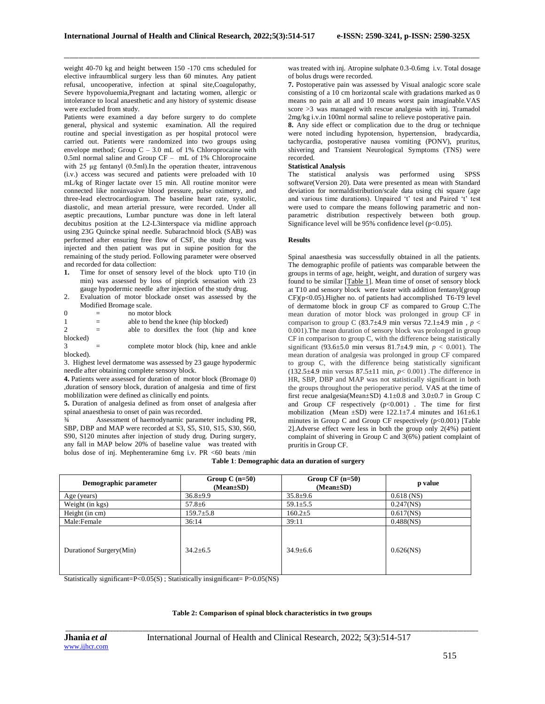weight 40-70 kg and height between 150 -170 cms scheduled for elective infraumblical surgery less than 60 minutes. Any patient refusal, uncooperative, infection at spinal site,Coagulopathy, Severe hypovoluemia,Pregnant and lactating women, allergic or intolerance to local anaesthetic and any history of systemic disease were excluded from study.

Patients were examined a day before surgery to do complete general, physical and systemic examination. All the required routine and special investigation as per hospital protocol were carried out. Patients were randomized into two groups using envelope method; Group  $C - 3.0$  mL of 1% Chloroprocaine with 0.5ml normal saline and Group CF – mL of 1% Chloroprocaine with 25 μg fentanyl (0.5ml).In the operation theater, intravenous (i.v.) access was secured and patients were preloaded with 10 mL/kg of Ringer lactate over 15 min. All routine monitor were connected like noninvasive blood pressure, pulse oximetry, and three-lead electrocardiogram. The baseline heart rate, systolic, diastolic, and mean arterial pressure, were recorded. Under all aseptic precautions, Lumbar puncture was done in left lateral decubitus position at the L2-L3interspace via midline approach using 23G Quincke spinal needle. Subarachnoid block (SAB) was performed after ensuring free flow of CSF, the study drug was injected and then patient was put in supine position for the remaining of the study period. Following parameter were observed and recorded for data collection:<br>1. Time for onset of sensory

- **1.** Time for onset of sensory level of the block upto T10 (in min) was assessed by loss of pinprick sensation with 23 gauge hypodermic needle after injection of the study drug.
- 2. Evaluation of motor blockade onset was assessed by the Modified Bromage scale.
- $0 =$  no motor block 1 = able to bend the knee (hip blocked)  $2 =$  able to dorsiflex the foot (hip and knee blocked) complete motor block (hip, knee and ankle

blocked). 3. Highest level dermatome was assessed by 23 gauge hypodermic needle after obtaining complete sensory block.

**4.** Patients were assessed for duration of motor block (Bromage 0) ,duration of sensory block, duration of analgesia and time of first moblilization were defined as clinically end points.

**5.** Duration of analgesia defined as from onset of analgesia after spinal anaesthesia to onset of pain was recorded.

¾ Assessment of haemodynamic parameter including PR, SBP, DBP and MAP were recorded at S3, S5, S10, S15, S30, S60, S90, S120 minutes after injection of study drug. During surgery, any fall in MAP below 20% of baseline value was treated with bolus dose of inj. Mephenteramine 6mg i.v. PR <60 beats /min

was treated with inj. Atropine sulphate 0.3-0.6mg i.v. Total dosage of bolus drugs were recorded.

**7.** Postoperative pain was assessed by Visual analogic score scale consisting of a 10 cm horizontal scale with gradations marked as 0 means no pain at all and 10 means worst pain imaginable.VAS  $score > 3$  was managed with rescue analgesia with inj. Tramadol 2mg/kg i.v.in 100ml normal saline to relieve postoperative pain.

**8.** Any side effect or complication due to the drug or technique were noted including hypotension, hypertension, bradycardia, tachycardia, postoperative nausea vomiting (PONV), pruritus, shivering and Transient Neurological Symptoms (TNS) were recorded.

# **Statistical Analysis**

analysis was performed using SPSS software(Version 20). Data were presented as mean with Standard deviation for normaldistribution/scale data using chi square (age and various time durations). Unpaired 't' test and Paired 't' test were used to compare the means following parametric and nonparametric distribution respectively between both group. Significance level will be 95% confidence level ( $p<0.05$ ).

## **Results**

\_\_\_\_\_\_\_\_\_\_\_\_\_\_\_\_\_\_\_\_\_\_\_\_\_\_\_\_\_\_\_\_\_\_\_\_\_\_\_\_\_\_\_\_\_\_\_\_\_\_\_\_\_\_\_\_\_\_\_\_\_\_\_\_\_\_\_\_\_\_\_\_\_\_\_\_\_\_\_\_\_\_\_\_\_\_\_\_\_\_\_\_\_\_\_\_\_\_\_\_\_\_\_\_\_\_\_\_\_\_\_\_\_\_\_\_\_\_\_\_\_\_\_\_\_\_\_\_\_\_\_\_\_\_\_\_\_\_\_\_

Spinal anaesthesia was successfully obtained in all the patients. The demographic profile of patients was comparable between the groups in terms of age, height, weight, and duration of surgery was found to be similar [\[Table 1\]](https://www.ncbi.nlm.nih.gov/pmc/articles/PMC6775826/table/T1/). Mean time of onset of sensory block at T10 and sensory block were faster with addition fentanyl(group CF)(p<0.05).Higher no. of patients had accomplished T6-T9 level of dermatome block in group CF as compared to Group C.The mean duration of motor block was prolonged in group CF in comparison to group C (83.7 $\pm$ 4.9 min versus 72.1 $\pm$ 4.9 min, *p* < 0.001).The mean duration of sensory block was prolonged in group CF in comparison to group C, with the difference being statistically significant (93.6±5.0 min versus 81.7±4.9 min, *p* < 0.001). The mean duration of analgesia was prolonged in group CF compared to group C, with the difference being statistically significant (132.5±4.9 min versus 87.5±11 min, *p*< 0.001) .The difference in HR, SBP, DBP and MAP was not statistically significant in both the groups throughout the perioperative period. VAS at the time of first recue analgesia(Mean±SD) 4.1±0.8 and 3.0±0.7 in Group C and Group CF respectively (p<0.001) . The time for first mobilization (Mean  $\pm$ SD) were 122.1 $\pm$ 7.4 minutes and 161 $\pm$ 6.1 minutes in Group C and Group CF respectively  $(p<0.001)$  [Table 2].Adverse effect were less in both the group only 2(4%) patient complaint of shivering in Group C and 3(6%) patient complaint of pruritis in Group CF.

### **Table 1**: **Demographic data an duration of surgery**

| Demographic parameter     | Group C $(n=50)$<br>$(Mean \pm SD)$ | Group $CF$ (n=50)<br>$(Mean \pm SD)$ | p value      |
|---------------------------|-------------------------------------|--------------------------------------|--------------|
| Age (years)               | $36.8 + 9.9$                        | $35.8 \pm 9.6$                       | $0.618$ (NS) |
| Weight (in kgs)           | $57.8 \pm 6$                        | $59.1 \pm 5.5$                       | $0.247$ (NS) |
| Height (in cm)            | $159.7 \pm 5.8$                     | $160.2{\pm}5$                        | $0.617$ (NS) |
| Male:Female               | 36:14                               | 39:11                                | $0.488$ (NS) |
| Duration of Surgery (Min) | $34.2 + 6.5$                        | $34.9 \pm 6.6$                       | $0.626$ (NS) |

Statistically significant=P<0.05(S) ; Statistically insignificant= P>0.05(NS)

# *\_\_\_\_\_\_\_\_\_\_\_\_\_\_\_\_\_\_\_\_\_\_\_\_\_\_\_\_\_\_\_\_\_\_\_\_\_\_\_\_\_\_\_\_\_\_\_\_\_\_\_\_\_\_\_\_\_\_\_\_\_\_\_\_\_\_\_\_\_\_\_\_\_\_\_\_\_\_\_\_\_\_\_\_\_\_\_\_\_\_\_\_\_\_\_\_\_\_\_\_\_\_\_\_\_\_\_\_\_\_\_\_\_\_\_\_\_\_\_\_\_\_\_\_\_\_\_\_\_\_\_\_\_\_\_\_\_\_\_* **Table 2: Comparison of spinal block characteristics in two groups**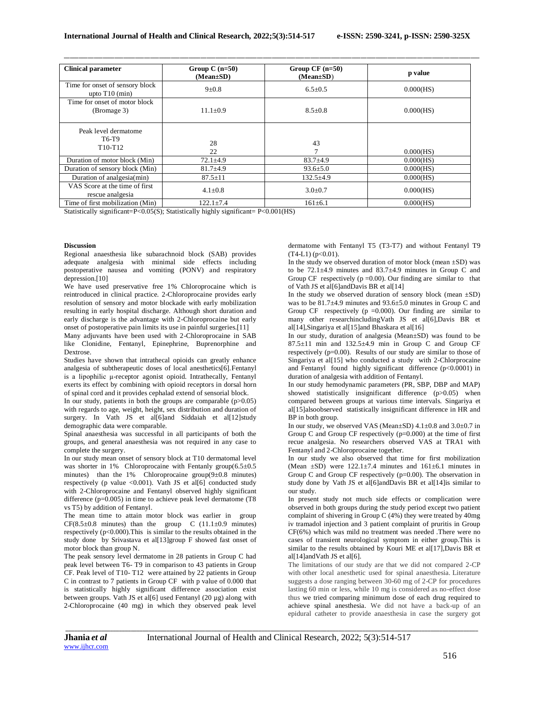| <b>Clinical parameter</b>                                         | Group C $(n=50)$<br>$(Mean \pm SD)$ | Group $CF (n=50)$<br>$(Mean \pm SD)$ | p value      |
|-------------------------------------------------------------------|-------------------------------------|--------------------------------------|--------------|
| Time for onset of sensory block<br>upto $T10$ (min)               | $9+0.8$                             | $6.5 \pm 0.5$                        | 0.000(HS)    |
| Time for onset of motor block<br>(Bromage 3)                      | $11.1 \pm 0.9$                      | $8.5 \pm 0.8$                        | 0.000(HS)    |
| Peak level dermatome<br>T6-T9<br>T <sub>10</sub> -T <sub>12</sub> | 28<br>22                            | 43<br>$\mathcal{I}$                  | 0.000(HS)    |
| Duration of motor block (Min)                                     | $72.1 \pm 4.9$                      | $83.7 + 4.9$                         | $0.000$ (HS) |
| Duration of sensory block (Min)                                   | $81.7 + 4.9$                        | $93.6 \pm 5.0$                       | 0.000(HS)    |
| Duration of analgesia(min)                                        | $87.5 \pm 11$                       | $132.5+4.9$                          | $0.000$ (HS) |
| VAS Score at the time of first<br>rescue analgesia                | $4.1 \pm 0.8$                       | $3.0 \pm 0.7$                        | 0.000(HS)    |
| Time of first mobilization (Min)                                  | $122.1 \pm 7.4$                     | $161 \pm 6.1$                        | 0.000(HS)    |

\_\_\_\_\_\_\_\_\_\_\_\_\_\_\_\_\_\_\_\_\_\_\_\_\_\_\_\_\_\_\_\_\_\_\_\_\_\_\_\_\_\_\_\_\_\_\_\_\_\_\_\_\_\_\_\_\_\_\_\_\_\_\_\_\_\_\_\_\_\_\_\_\_\_\_\_\_\_\_\_\_\_\_\_\_\_\_\_\_\_\_\_\_\_\_\_\_\_\_\_\_\_\_\_\_\_\_\_\_\_\_\_\_\_\_\_\_\_\_\_\_\_\_\_\_\_\_\_\_\_\_\_\_\_\_\_\_\_\_\_

Statistically significant=P<0.05(S); Statistically highly significant= P<0.001(HS)

### **Discussion**

Regional anaesthesia like subarachnoid block (SAB) provides adequate analgesia with minimal side effects including postoperative nausea and vomiting (PONV) and respiratory depression.<sup>[10]</sup>

We have used preservative free 1% Chloroprocaine which is reintroduced in clinical practice. 2-Chloroprocaine provides early resolution of sensory and motor blockade with early mobilization resulting in early hospital discharge. Although short duration and early discharge is the advantage with 2-Chloroprocaine but early onset of postoperative pain limits its use in painful surgeries.[11]

Many adjuvants have been used with 2-Chloroprocaine in SAB like Clonidine, Fentanyl, Epinephrine, Buprenorphine and Dextrose.

Studies have shown that intrathecal opioids can greatly enhance analgesia of subtherapeutic doses of local anesthetics[6].Fentanyl is a lipophilic μ-receptor agonist opioid. Intrathecally, Fentanyl exerts its effect by combining with opioid receptors in dorsal horn of spinal cord and it provides cephalad extend of sensorial block.

In our study, patients in both the groups are comparable  $(p>0.05)$ with regards to age, weight, height, sex distribution and duration of surgery. In Vath JS et al[6]and Siddaiah et al[12]study demographic data were comparable.

Spinal anaesthesia was successful in all participants of both the groups, and general anaesthesia was not required in any case to complete the surgery.

In our study mean onset of sensory block at T10 dermatomal level was shorter in 1% Chloroprocaine with Fentanly group $(6.5\pm0.5$ minutes) than the 1% Chloroprocaine group(9±0.8 minutes) respectively (p value <0.001). Vath JS et al[6] conducted study with 2-Chloroprocaine and Fentanyl observed highly significant difference (p=0.005) in time to achieve peak level dermatome (T8 vs T5) by addition of Fentanyl.

The mean time to attain motor block was earlier in group  $CF(8.5\pm0.8 \text{ minutes})$  than the group C  $(11.1\pm0.9 \text{ minutes})$ respectively (p<0.000).This is similar to the results obtained in the study done by Srivastava et al[13]group F showed fast onset of motor block than group N.

The peak sensory level dermatome in 28 patients in Group C had peak level between T6- T9 in comparison to 43 patients in Group CF. Peak level of T10- T12 were attained by 22 patients in Group C in contrast to 7 patients in Group CF with p value of 0.000 that is statistically highly significant difference association exist between groups. Vath JS et al[6] used Fentanyl (20 µg) along with 2-Chloroprocaine (40 mg) in which they observed peak level

dermatome with Fentanyl T5 (T3-T7) and without Fentanyl T9  $(T4-L1)$  ( $p<0.01$ ).

In the study we observed duration of motor block (mean  $\pm$ SD) was to be 72.1±4.9 minutes and 83.7±4.9 minutes in Group C and Group CF respectively ( $p = 0.00$ ). Our finding are similar to that of Vath JS et al[6]andDavis BR et al[14]

In the study we observed duration of sensory block (mean  $\pm$ SD) was to be 81.7±4.9 minutes and 93.6±5.0 minutes in Group C and Group CF respectively ( $p = 0.000$ ). Our finding are similar to many other researchincludingVath JS et al[6],Davis BR et al[14],Singariya et al[15]and Bhaskara et al[16]

In our study, duration of analgesia (Mean±SD) was found to be  $87.5 \pm 11$  min and  $132.5 \pm 4.9$  min in Group C and Group CF respectively  $(p=0.00)$ . Results of our study are similar to those of Singariya et al<sup>[15]</sup> who conducted a study with 2-Chlorprocaine and Fentanyl found highly significant difference (p<0.0001) in duration of analgesia with addition of Fentanyl.

In our study hemodynamic parameters (PR, SBP, DBP and MAP) showed statistically insignificant difference (p>0.05) when compared between groups at various time intervals. Singariya et al<sup>[15]</sup>alsoobserved statistically insignificant difference in HR and BP in both group.

In our study, we observed VAS (Mean $\pm$ SD) 4.1 $\pm$ 0.8 and 3.0 $\pm$ 0.7 in Group C and Group CF respectively (p=0.000) at the time of first recue analgesia. No researchers observed VAS at TRA1 with Fentanyl and 2-Chloroprocaine together.

In our study we also observed that time for first mobilization (Mean  $\pm$ SD) were 122.1 $\pm$ 7.4 minutes and 161 $\pm$ 6.1 minutes in Group C and Group CF respectively (p=0.00). The observation in study done by Vath JS et al[6]andDavis BR et al[14]is similar to our study.

In present study not much side effects or complication were observed in both groups during the study period except two patient complaint of shivering in Group C (4%) they were treated by 40mg iv tramadol injection and 3 patient complaint of pruritis in Group CF(6%) which was mild no treatment was needed .There were no cases of transient neurological symptom in either group.This is similar to the results obtained by Kouri ME et al[17],Davis BR et al[14]andVath JS et al[6].

The limitations of our study are that we did not compared 2-CP with other local anesthetic used for spinal anaesthesia. Literature suggests a dose ranging between 30-60 mg of 2-CP for procedures lasting 60 min or less, while 10 mg is considered as no-effect dose thus we tried comparing minimum dose of each drug required to achieve spinal anesthesia. We did not have a back-up of an epidural catheter to provide anaesthesia in case the surgery got